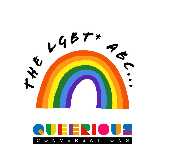

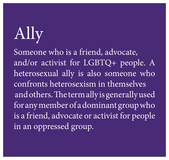# Ally

Someone who is a friend, advocate, and/or activist for LGBTQ+ people. A heterosexual ally is also someone who confronts heterosexism in themselves and others. The term ally is generally used for any member of a dominant group who is a friend, advocate or activist for people in an oppressed group.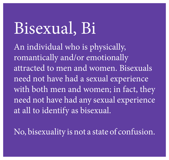Bisexual, Bi An individual who is physically, romantically and/or emotionally attracted to men and women. Bisexuals need not have had a sexual experience with both men and women; in fact, they need not have had any sexual experience at all to identify as bisexual.

No, bisexuality is not a state of confusion.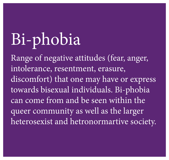# Bi-phobia Range of negative attitudes (fear, anger,

intolerance, resentment, erasure, discomfort) that one may have or express towards bisexual individuals. Bi-phobia can come from and be seen within the queer community as well as the larger heterosexist and hetronormartive society.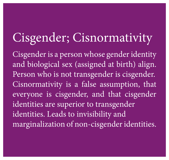### Cisgender; Cisnormativity

Cisgender is a person whose gender identity and biological sex (assigned at birth) align. Person who is not transgender is cisgender. Cisnormativity is a false assumption, that everyone is cisgender, and that cisgender identities are superior to transgender identities. Leads to invisibility and marginalization of non-cisgender identities.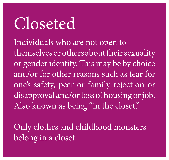Closeted Individuals who are not open to themselves or others about their sexuality or gender identity. This may be by choice and/or for other reasons such as fear for one's safety, peer or family rejection or disapproval and/or loss of housing or job. Also known as being "in the closet."

Only clothes and childhood monsters belong in a closet.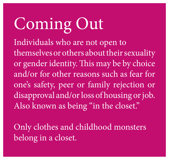Coming Out Individuals who are not open to themselves or others about their sexuality or gender identity. This may be by choice and/or for other reasons such as fear for one's safety, peer or family rejection or disapproval and/or loss of housing or job. Also known as being "in the closet."

Only clothes and childhood monsters belong in a closet.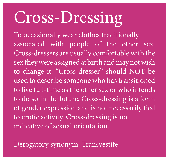# Cross-Dressing

To occasionally wear clothes traditionally associated with people of the other sex. Cross-dressers are usually comfortable with the sex they were assigned at birth and may not wish to change it. "Cross-dresser" should NOT be used to describe someone who has transitioned to live full-time as the other sex or who intends to do so in the future. Cross-dressing is a form of gender expression and is not necessarily tied to erotic activity. Cross-dressing is not indicative of sexual orientation.

Derogatory synonym: Transvestite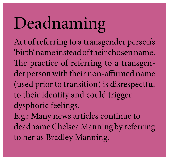### Deadnaming Act of referring to a transgender person's 'birth' name instead of their chosen name. The practice of referring to a transgender person with their non-affirmed name (used prior to transition) is disrespectful to their identity and could trigger dysphoric feelings.

E.g.: Many news articles continue to deadname Chelsea Manning by referring to her as Bradley Manning.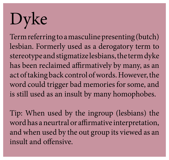# Dyke

Term referring to a masculine presenting (butch) lesbian. Formerly used as a derogatory term to stereotype and stigmatize lesbians, the term dyke has been reclaimed affirmatively by many, as an act of taking back control of words. However, the word could trigger bad memories for some, and is still used as an insult by many homophobes.

Tip: When used by the ingroup (lesbians) the word has a neurtral or affirmative interpretation, and when used by the out group its viewed as an insult and offensive.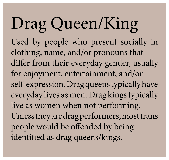- Used by people who present socially in
- differ from their everyday gender, usually
- self-expression. Drag queens typically have everyday lives as men. Drag kings typically
	-
- Unless they are drag performers, most trans
	-



Drag Queen/King clothing, name, and/or pronouns that for enjoyment, entertainment, and/or live as women when not performing. people would be offended by being identified as drag queens/kings.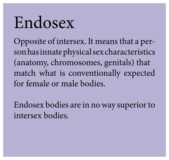Opposite of intersex. It means that a person has innate physical sex characteristics (anatomy, chromosomes, genitals) that match what is conventionally expected



# Endosex for female or male bodies.

Endosex bodies are in no way superior to intersex bodies.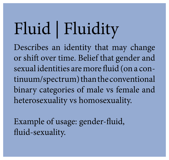Fluid | Fluidity Describes an identity that may change or shift over time. Belief that gender and sexual identities are more fluid (on a continuum/spectrum) than the conventional binary categories of male vs female and heterosexuality vs homosexuality.

Example of usage: gender-fluid, fluid-sexuality.

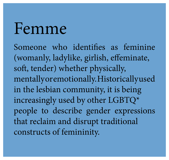Femme Someone who identifies as feminine (womanly, ladylike, girlish, effeminate, soft, tender) whether physically, mentallyoremotionally. Historicallyused in the lesbian community, it is being increasingly used by other LGBTQ\* people to describe gender expressions that reclaim and disrupt traditional constructs of femininity.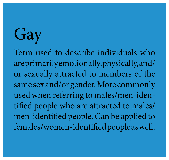Gay Term used to describe individuals who areprimarilyemotionally, physically, and/ or sexually attracted to members of the same sex and/or gender. More commonly used when referring to males/men-identified people who are attracted to males/ men-identified people. Can be applied to females/women-identified people as well.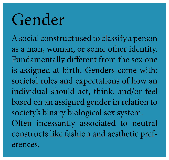### Gender

A social construct used to classify a person as a man, woman, or some other identity. Fundamentally different from the sex one is assigned at birth. Genders come with: societal roles and expectations of how an individual should act, think, and/or feel based on an assigned gender in relation to society's binary biological sex system. Often incessantly associated to neutral constructs like fashion and aesthetic preferences.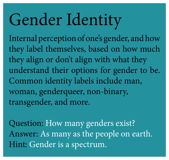# Gender Identity

Internal perception of one's gender, and how they label themselves, based on how much they align or don't align with what they understand their options for gender to be. Common identity labels include man, woman, genderqueer, non-binary, transgender, and more.

Question: How many genders exist? Answer: As many as the people on earth. Hint: Gender is a spectrum.

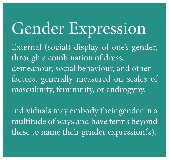Gender Expression External (social) display of one's gender, through a combination of dress, demeanour, social behaviour, and other factors, generally measured on scales of masculinity, femininity, or androgyny.

Individuals may embody their gender in a multitude of ways and have terms beyond these to name their gender expression(s).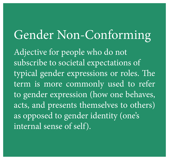Gender Non-Conforming Adjective for people who do not subscribe to societal expectations of typical gender expressions or roles. The term is more commonly used to refer to gender expression (how one behaves, acts, and presents themselves to others) as opposed to gender identity (one's internal sense of self).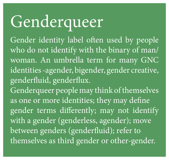Genderqueer genderfluid, genderflux. between genders (genderfluid); refer to

- Gender identity label often used by people who do not identify with the binary of man/ woman. An umbrella term for many GNC identities -agender, bigender, gender creative,
- Genderqueer people may think of themselves as one or more identities; they may define gender terms differently; may not identify with a gender (genderless, agender); move themselves as third gender or other-gender.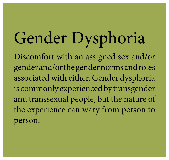person.

### Gender Dysphoria Discomfort with an assigned sex and/or gender and/or the gender norms and roles associated with either. Gender dysphoria is commonly experienced by transgender and transsexual people, but the nature of the experience can wary from person to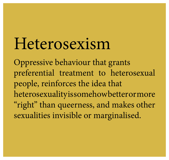### Heterosexism

Oppressive behaviour that grants preferential treatment to heterosexual people, reinforces the idea that heterosexualityissomehowbetterormore "right" than queerness, and makes other sexualities invisible or marginalised.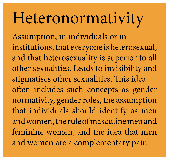# Heteronormativity

Assumption, in individuals or in stigmatises other sexualities. This idea that individuals should identify as men

- institutions, that everyone is heterosexual, and that heterosexuality is superior to all other sexualities. Leads to invisibility and
- often includes such concepts as gender normativity, gender roles, the assumption
- and women, the rule of masculine men and
- feminine women, and the idea that men and women are a complementary pair.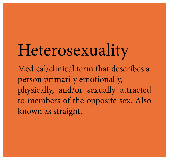Heterosexuality Medical/clinical term that describes a person primarily emotionally, physically, and/or sexually attracted to members of the opposite sex. Also known as straight.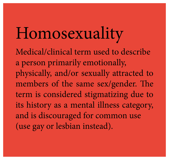# Homosexuality

- Medical/clinical term used to describe
- physically, and/or sexually attracted to
- members of the same sex/gender. The
- term is considered stigmatizing due to
	-
	-
	-

a person primarily emotionally, its history as a mental illness category, and is discouraged for common use (use gay or lesbian instead).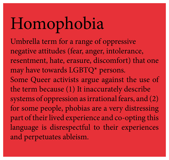Homophobia Umbrella term for a range of oppressive negative attitudes (fear, anger, intolerance, resentment, hate, erasure, discomfort) that one may have towards LGBTQ\* persons. Some Queer activists argue against the use of the term because (1) It inaccurately describe systems of oppression as irrational fears, and (2) for some people, phobias are a very distressing part of their lived experience and co-opting this language is disrespectful to their experiences and perpetuates ableism.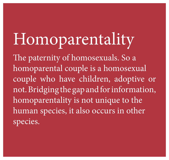Homoparentality The paternity of homosexuals. So a homoparentality is not unique to the species.

# homoparental couple is a homosexual couple who have children, adoptive or not. Bridging the gap and for information, human species, it also occurs in other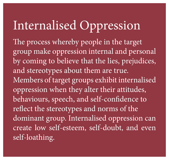### Internalised Oppression

The process whereby people in the target group make oppression internal and personal by coming to believe that the lies, prejudices, and stereotypes about them are true. Members of target groups exhibit internalised oppression when they alter their attitudes, behaviours, speech, and self-confidence to reflect the stereotypes and norms of the dominant group. Internalised oppression can create low self-esteem, self-doubt, and even self-loathing.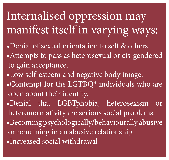Internalised oppression may manifest itself in varying ways: •Denial of sexual orientation to self & others. Attempts to pass as heterosexual or cis-gendered to gain acceptance. •Low self-esteem and negative body image. •Contempt for the LGTBQ\* individuals who are open about their identity. ·Denial that LGBTphobia, heterosexism or heteronormativity are serious social problems. • Becoming psychologically/behaviourally abusive or remaining in an abusive relationship. ·Increased social withdrawal

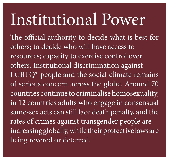## Institutional Power

The official authority to decide what is best for others; to decide who will have access to resources; capacity to exercise control over others. Institutional discrimination against LGBTQ\* people and the social climate remains of serious concern across the globe. Around 70 countries continue to criminalise homosexuality, in 12 countries adults who engage in consensual same-sex acts can still face death penalty, and the rates of crimes against transgender people are increasing globally, while their protective laws are being revered or deterred.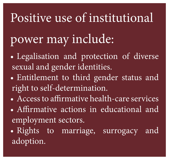### Positive use of institutional power may include: • Legalisation and protection of diverse sexual and gender identities. • Entitlement to third gender status and right to self-determination. • Access to affirmative health-care services • Affirmative actions in educational and employment sectors. • Rights to marriage, surrogacy and adoption.

- 
- 
- -
	-
	-
	-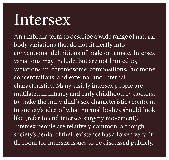### Intersex

body variations that do not fit neatly into variations may include, but are not limited to, concentrations, and external and internal characteristics. Many visibly intersex people are to society's idea of what normal bodies should look like (refer to end intersex surgery movement). Intersex people are relatively common, although

- An umbrella term to describe a wide range of natural
- conventional definitions of male or female. Intersex
- variations in chromosome compositions, hormone
	-
- mutilated in infancy and early childhood by doctors,
- to make the individual's sex characteristics conform
	-
- society's denial of their existence has allowed very lit-
- tle room for intersex issues to be discussed publicly.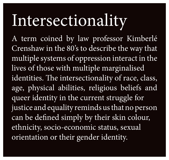# Intersectionality

A term coined by law professor Kimberlé Crenshaw in the 80's to describe the way that multiple systems of oppression interact in the lives of those with multiple marginalised identities. The intersectionality of race, class, age, physical abilities, religious beliefs and queer identity in the current struggle for justice and equality reminds us that no person can be defined simply by their skin colour, ethnicity, socio-economic status, sexual orientation or their gender identity.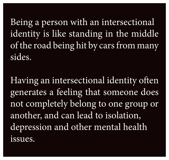Being a person with an intersectional identity is like standing in the middle of the road being hit by cars from many sides.

Having an intersectional identity often generates a feeling that someone does not completely belong to one group or another, and can lead to isolation, depression and other mental health issues.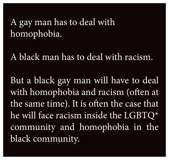### A gay man has to deal with homophobia.

### A black man has to deal with racism.

But a black gay man will have to deal with homophobia and racism (often at the same time). It is often the case that he will face racism inside the LGBTQ\* community and homophobia in the black community.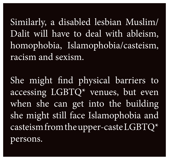Similarly, a disabled lesbian Muslim/ Dalit will have to deal with ableism, homophobia, Islamophobia/casteism, racism and sexism.

She might find physical barriers to accessing LGBTQ\* venues, but even when she can get into the building she might still face Islamophobia and casteism from the upper-caste LGBTQ\* persons.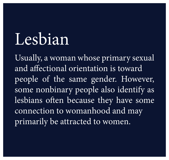### Lesbian

Usually, a woman whose primary sexual and affectional orientation is toward people of the same gender. However, some nonbinary people also identify as lesbians often because they have some connection to womanhood and may primarily be attracted to women.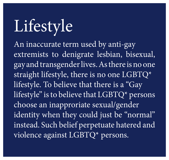Lifestyle An inaccurate term used by anti-gay extremists to denigrate lesbian, bisexual, gay and transgender lives. As there is no one straight lifestyle, there is no one LGBTQ\* lifestyle. To believe that there is a "Gay lifestyle" is to believe that LGBTQ\* persons choose an inapproriate sexual/gender identity when they could just be "normal" instead. Such belief perpetuate hatered and violence against LGBTQ\* persons.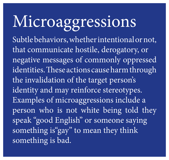Microaggressions Subtle behaviors, whether intentional or not, that communicate hostile, derogatory, or negative messages of commonly oppressed identities. These actions cause harm through the invalidation of the target person's identity and may reinforce stereotypes. Examples of microaggressions include a person who is not white being told they speak "good English" or someone saying something is"gay" to mean they think something is bad.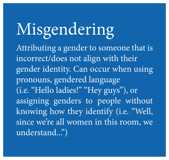Misgendering Attributing a gender to someone that is incorrect/does not align with their pronouns, gendered language (i.e. "Hello ladies!" "Hey guys"), or knowing how they identify (i.e. "Well, understand...")

- 
- gender identity. Can occur when using
	-
	-
- assigning genders to people without
- since we're all women in this room, we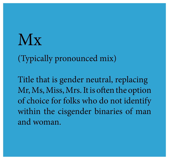### NX

(Typically pronounced mix)

Title that is gender neutral, replacing Mr, Ms, Miss, Mrs. It is often the option of choice for folks who do not identify within the cisgender binaries of man and woman.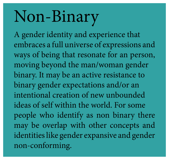### Non-Binary

A gender identity and experience that embraces a full universe of expressions and ways of being that resonate for an person, moving beyond the man/woman gender binary. It may be an active resistance to binary gender expectations and/or an intentional creation of new unbounded ideas of self within the world. For some people who identify as non binary there may be overlap with other concepts and identities like gender expansive and gender non-conforming.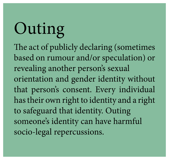Outing The act of publicly declaring (sometimes based on rumour and/or speculation) or revealing another person's sexual orientation and gender identity without that person's consent. Every individual has their own right to identity and a right to safeguard that identity. Outing someone's identity can have harmful socio-legal repercussions.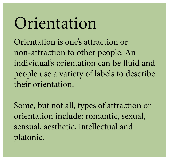### Orientation Orientation is one's attraction or non-attraction to other people. An individual's orientation can be fluid and people use a variety of labels to describe their orientation.

Some, but not all, types of attraction or orientation include: romantic, sexual, sensual, aesthetic, intellectual and platonic.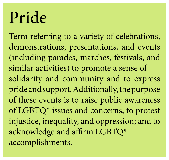### Pride

Term referring to a variety of celebrations, demonstrations, presentations, and events (including parades, marches, festivals, and similar activities) to promote a sense of solidarity and community and to express pride and support. Additionally, the purpose of these events is to raise public awareness of LGBTQ\* issues and concerns; to protest injustice, inequality, and oppression; and to acknowledge and affirm LGBTQ\* accomplishments.

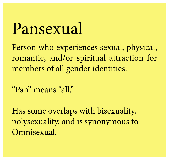Pansexual Person who experiences sexual, physical, romantic, and/or spiritual attraction for members of all gender identities.

"Pan" means "all."

Has some overlaps with bisexuality, polysexuality, and is synonymous to Omnisexual.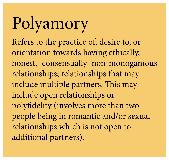Polyamory Refers to the practice of, desire to, or orientation towards having ethically, honest, consensually non-monogamous relationships; relationships that may include multiple partners. This may include open relationships or polyfidelity (involves more than two people being in romantic and/or sexual relationships which is not open to additional partners).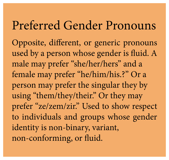Preferred Gender Pronouns Opposite, different, or generic pronouns used by a person whose gender is fluid. A male may prefer "she/her/hers" and a female may prefer "he/him/his.?" Or a person may prefer the singular they by using "them/they/their." Or they may prefer "ze/zem/zir." Used to show respect to individuals and groups whose gender identity is non-binary, variant, non-conforming, or fluid.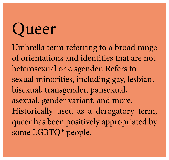Queer Umbrella term referring to a broad range of orientations and identities that are not heterosexual or cisgender. Refers to sexual minorities, including gay, lesbian, bisexual, transgender, pansexual, asexual, gender variant, and more. Historically used as a derogatory term, queer has been positively appropriated by some LGBTQ\* people.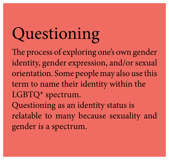Questioning The process of exploring one's own gender identity, gender expression, and/or sexual orientation. Some people may also use this term to name their identity within the LGBTQ\* spectrum. Questioning as an identity status is relatable to many because sexuality and gender is a spectrum.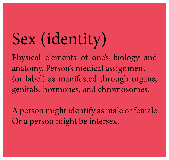Sex (identity) anatomy. Person's medical assignment

A person might identify as male or female Or a person might be intersex.

# Physical elements of one's biology and (or label) as manifested through organs, genitals, hormones, and chromosomes.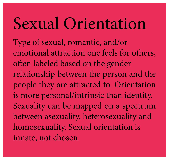### Sexual Orientation Type of sexual, romantic, and/or emotional attraction one feels for others, often labeled based on the gender relationship between the person and the people they are attracted to. Orientation is more personal/intrinsic than identity. Sexuality can be mapped on a spectrum between asexuality, heterosexuality and homosexuality. Sexual orientation is innate, not chosen.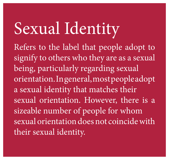Sexual Identity Refers to the label that people adopt to signify to others who they are as a sexual being, particularly regarding sexual orientation. In general, most people adopt a sexual identity that matches their sexual orientation. However, there is a sizeable number of people for whom sexual orientation does not coincide with their sexual identity.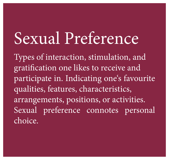# Sexual Preference

Types of interaction, stimulation, and gratification one likes to receive and participate in. Indicating one's favourite qualities, features, characteristics, arrangements, positions, or activities. Sexual preference connotes personal choice.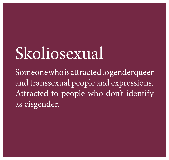Skoliosexual Someonewhoisattracted to genderqueer and transsexual people and expressions. Attracted to people who don't identify as cisgender.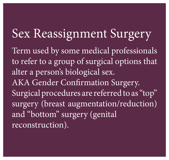Sex Reassignment Surgery Term used by some medical professionals to refer to a group of surgical options that alter a person's biological sex. AKA Gender Confirmation Surgery. Surgical procedures are referred to as "top" surgery (breast augmentation/reduction) and "bottom" surgery (genital reconstruction).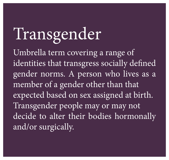Transgender Umbrella term covering a range of identities that transgress socially defined gender norms. A person who lives as a member of a gender other than that expected based on sex assigned at birth. Transgender people may or may not decide to alter their bodies hormonally and/or surgically.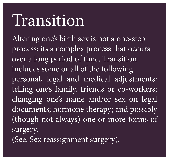### Transition

Altering one's birth sex is not a one-step process; its a complex process that occurs over a long period of time. Transition includes some or all of the following personal, legal and medical adjustments: telling one's family, friends or co-workers; changing one's name and/or sex on legal documents; hormone therapy; and possibly (though not always) one or more forms of surgery. (See: Sex reassignment surgery).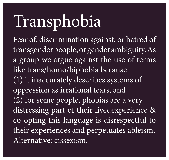Transphobia like trans/homo/biphobia because (1) it inaccurately describes systems of oppression as irrational fears, and (2) for some people, phobias are a very Alternative: cissexism.

Fear of, discrimination against, or hatred of transgender people, or gender ambiguity. As a group we argue against the use of terms distressing part of their livedexperience & co-opting this language is disrespectful to their experiences and perpetuates ableism.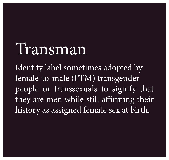Transman Identity label sometimes adopted by female-to-male (FTM) transgender people or transsexuals to signify that they are men while still affirming their history as assigned female sex at birth.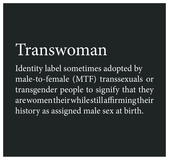Transwoman Identity label sometimes adopted by male-to-female (MTF) transsexuals or transgender people to signify that they arewomentheirwhilestillaffirmingtheir history as assigned male sex at birth.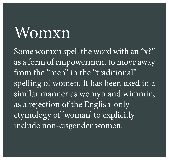### Womxn

Some womxn spell the word with an "x?" as a form of empowerment to move away from the "men" in the "traditional" spelling of women. It has been used in a similar manner as womyn and wimmin, as a rejection of the English-only etymology of 'woman' to explicitly include non-cisgender women.